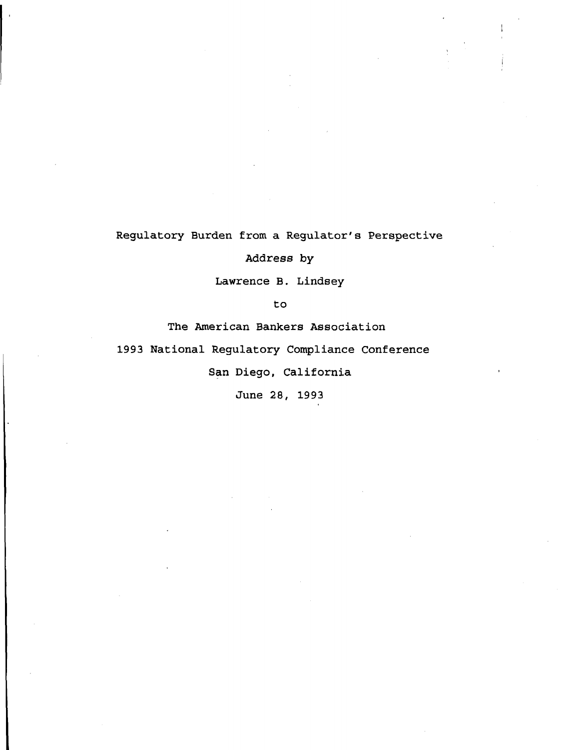**Regulatory Burden from a Regulator's Perspective**

**Address by**

**Lawrence B. Lindsey**

**to**

**The American Bankers Association**

**1993 National Regulatory Compliance Conference**

**San Diego, California**

**June 28, 1993**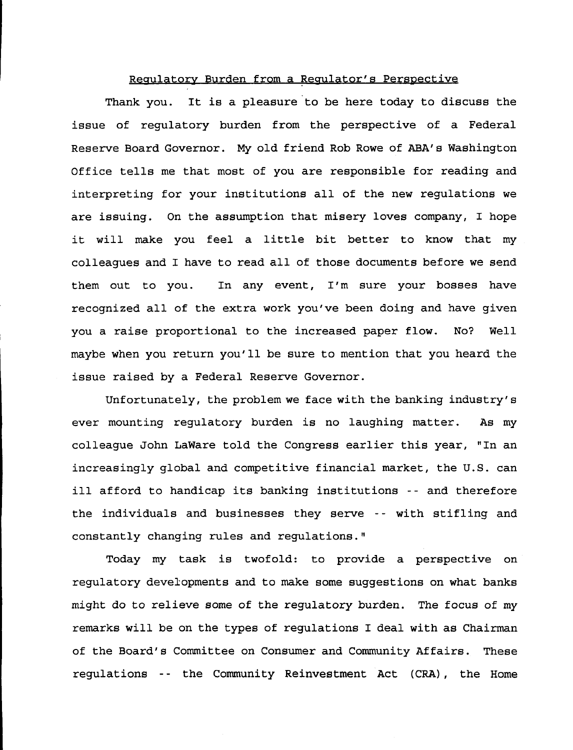## **Regulatory Burden from a Regulator's Perspective**

**Thank you. It is a pleasure to be here today to discuss the issue of regulatory burden from the perspective of a Federal Reserve Board Governor. My old friend Rob Rowe of ABA's Washington Office tells me that most of you are responsible for reading and interpreting for your institutions all of the new regulations we are issuing. On the assumption that misery loves company, I hope it will make you feel a little bit better to know that my colleagues and I have to read all of those documents before we send them out to you. In any event, I'm sure your bosses have recognized all of the extra work you've been doing and have given you a raise proportional to the increased paper flow. No? Well maybe when you return you'll be sure to mention that you heard the issue raised by a Federal Reserve Governor.**

**Unfortunately, the problem we face with the banking industry's ever mounting regulatory burden is no laughing matter. As my colleague John LaWare told the Congress earlier this year, "In an increasingly global and competitive financial market, the U.S. can ill afford to handicap its banking institutions -- and therefore the individuals and businesses they serve -- with stifling and constantly changing rules and regulations."**

**Today my task is twofold: to provide a perspective on regulatory developments and to make some suggestions on what banks might do to relieve some of the regulatory burden. The focus of my remarks will be on the types of regulations I deal with as Chairman of the Board's Committee on Consumer and Community Affairs. These regulations -- the Community Reinvestment Act (CRA) , the Home**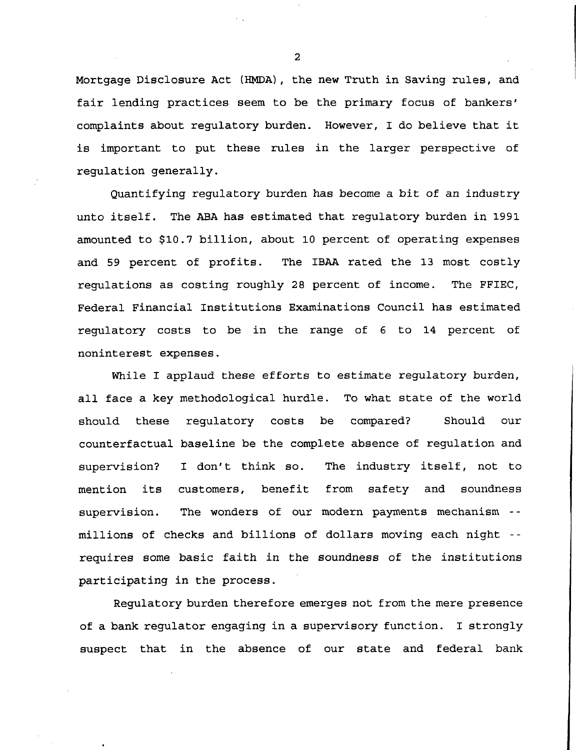**Mortgage Disclosure Act (HJ4DA) , the new Truth in Saving rules, and fair lending practices seem to be the primary focus of bankers' complaints about regulatory burden. However, I do believe that it is important to put these rules in the larger perspective of regulation generally.**

**Quantifying regulatory burden has become a bit of an industry unto itself. The ABA has estimated that regulatory burden in 1991 amounted to \$10.7 billion, about 10 percent of operating expenses and 59 percent of profits. The IBAA rated the 13 most costly regulations as costing roughly 28 percent of income. The FFIEC, Federal Financial Institutions Examinations Council has estimated regulatory costs to be in the range of 6 to 14 percent of noninterest expenses.**

**While I applaud these efforts to estimate regulatory burden, all face a key methodological hurdle. To what state of the world should these regulatory costs be compared? Should our counterfactual baseline be the complete absence of regulation and supervision? I don't think so. The industry itself, not to mention its customers, benefit from safety and soundness supervision. The wonders of our modern payments mechanism - millions of checks and billions of dollars moving each night - requires some basic faith in the soundness of the institutions participating in the process.**

**Regulatory burden therefore emerges not from the mere presence of a bank regulator engaging in a supervisory function. I strongly suspect that in the absence of our state and federal bank**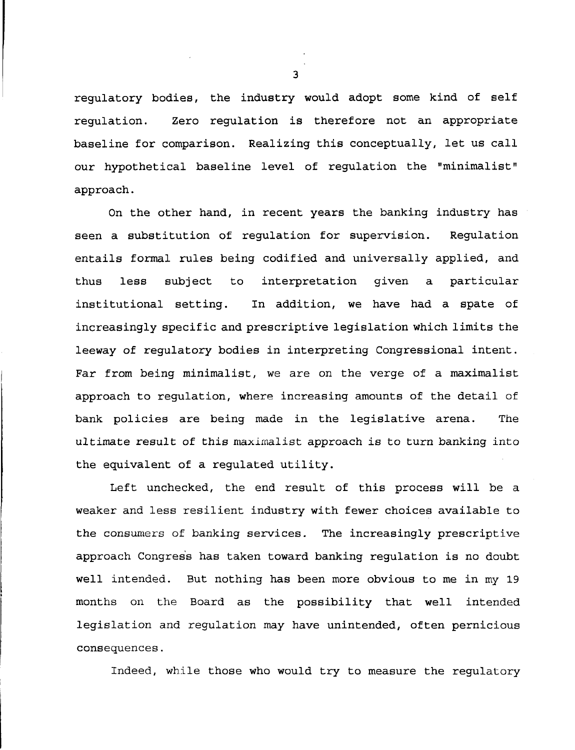regulatory bodies, the industry would adopt some kind of self regulation. Zero regulation is therefore not an appropriate baseline for comparison. Realizing this conceptually, let us call our hypothetical baseline level of regulation the "minimalist" approach.

On the other hand, in recent years the banking industry has seen a substitution of regulation for supervision. Regulation entails formal rules being codified and universally applied, and thus less subject to interpretation given a particular institutional setting. In addition, we have had a spate of increasingly specific and prescriptive legislation which limits the leeway of regulatory bodies in interpreting Congressional intent. Far from being minimalist, we are on the verge of a maximalist approach to regulation, where increasing amounts of the detail of bank policies are being made in the legislative arena. The ultimate result of this maximalist approach is to turn banking into the equivalent of a regulated utility.

Left unchecked, the end result of this process will be a weaker and less resilient industry with fewer choices available to the consumers of banking services. The increasingly prescriptive approach Congress has taken toward banking regulation is no doubt well intended. But nothing has been more obvious to me in my 19 months on the Board as the possibility that well intended legislation and regulation may have unintended, often pernicious consequences.

Indeed, while those who would try to measure the regulatory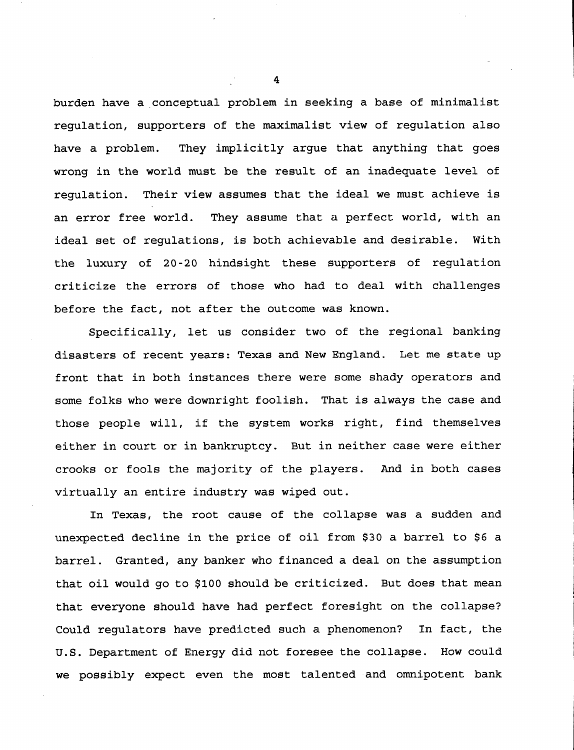**burden have a conceptual problem in seeking a base of minimalist regulation, supporters of the maximalist view of regulation also have a problem. They implicitly argue that anything that goes wrong in the world must be the result of an inadequate level of regulation. Their view assumes that the ideal we must achieve is an error free world. They assume that a perfect world, with an ideal set of regulations, is both achievable and desirable. With the luxury of 20-20 hindsight these supporters of regulation criticize the errors of those who had to deal with challenges before the fact, not after the outcome was known.**

**Specifically, let us consider two of the regional banking disasters of recent years: Texas and New England. Let me state up front that in both instances there were some shady operators and some folks who were downright foolish. That is always the case and those people will, if the system works right, find themselves either in court or in bankruptcy. But in neither case were either crooks or fools the majority of the players. And in both cases virtually an entire industry was wiped out.**

**In Texas, the root cause of the collapse was a sudden and unexpected decline in the price of oil from \$30 a barrel to \$6 a barrel. Granted, any banker who financed a deal on the assumption that oil would go to \$100 should be criticized. But does that mean that everyone should have had perfect foresight on the collapse? Could regulators have predicted such a phenomenon? In fact, the U.S. Department of Energy did not foresee the collapse. How could we possibly expect even the most talented and omnipotent bank**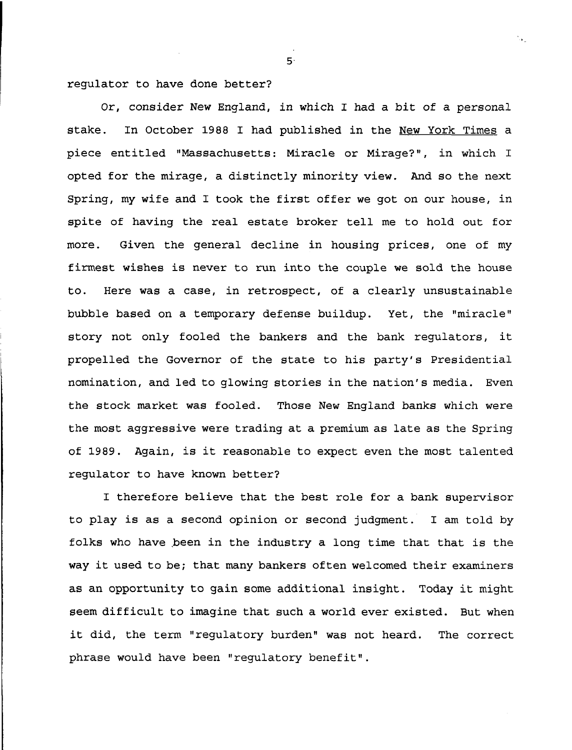**regulator to have done better?**

**Or, consider New England, in which I had a bit of a personal stake. In October 1988 I had published in the New York Times a piece entitled "Massachusetts: Miracle or Mirage?", in which I opted for the mirage, a distinctly minority view. And so the next Spring, my wife and I took the first offer we got on our house, in spite of having the real estate broker tell me to hold out for more. Given the general decline in housing prices, one of my firmest wishes is never to run into the couple we sold the house to. Here was a case, in retrospect, of a clearly unsustainable bubble based on a temporary defense buildup. Yet, the "miracle" story not only fooled the bankers and the bank regulators, it propelled the Governor of the state to his party's Presidential nomination, and led to glowing stories in the nation's media. Even the stock market was fooled. Those New England banks which were the most aggressive were trading at a premium as late as the Spring of 1989. Again, is it reasonable to expect even the most talented regulator to have known better?**

**I therefore believe that the best role for a bank supervisor to play is as a second opinion or second judgment. I am told by folks who have .been in the industry a long time that that is the way it used to be; that many bankers often welcomed their examiners as an opportunity to gain some additional insight. Today it might seem difficult to imagine that such a world ever existed. But when it did, the term "regulatory burden" was not heard. The correct phrase would have been "regulatory benefit".**

 $5<sup>1</sup>$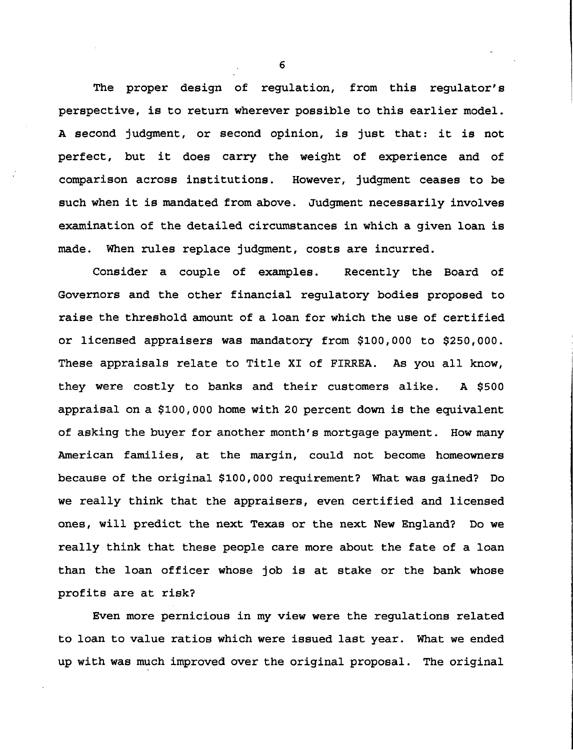**The proper design of regulation, from this regulator's perspective, is to return wherever possible to this earlier model. A second judgment, or second opinion, is just that: it is not perfect, but it does carry the weight of experience and of comparison across institutions. However, judgment ceases to be such when it is mandated from above. Judgment necessarily involves examination of the detailed circumstances in which a given loan is made. When rules replace judgment, costs are incurred.**

**Consider a couple of examples. Recently the Board of Governors and the other financial regulatory bodies proposed to raise the threshold amount of a loan for which the use of certified or licensed appraisers was mandatory from \$100,000 to \$250,000. These appraisals relate to Title XI of FIRREA. As you all know, they were costly to banks and their customers alike. A \$500 appraisal on a \$100,000 home with 20 percent down is the equivalent of asking the buyer for another month's mortgage payment. How many American families, at the margin, could not become homeowners because of the original \$100,000 requirement? What was gained? Do we really think that the appraisers, even certified and licensed ones, will predict the next Texas or the next New England? Do we really think that these people care more about the fate of a loan than the loan officer whose job is at stake or the bank whose profits are at risk?**

**Even more pernicious in my view were the regulations related to loan to value ratios which were issued last year. What we ended up with was much improved over the original proposal. The original**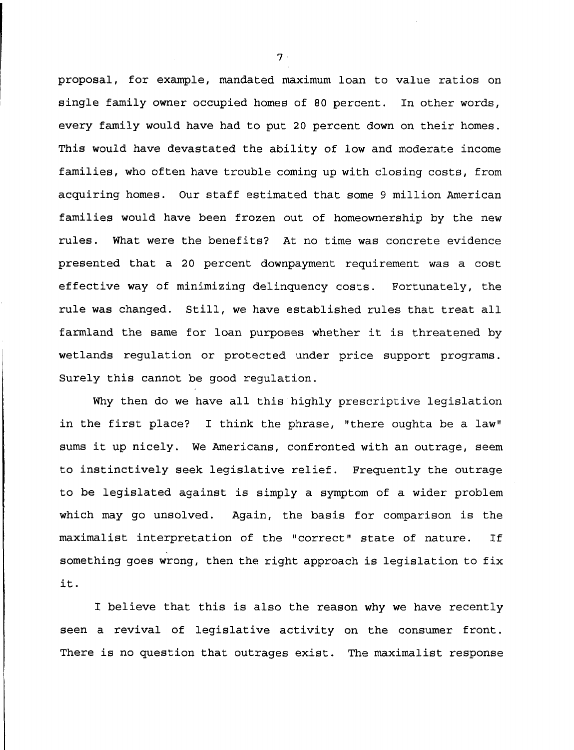**proposal, for example, mandated maximum loan to value ratios on single family owner occupied homes of 80 percent. In other words, every family would have had to put 20 percent down on their homes. This would have devastated the ability of low and moderate income families, who often have trouble coming up with closing costs, from acquiring homes. Our staff estimated that some 9 million American families would have been frozen out of homeownership by the new rules. What were the benefits? At no time was concrete evidence presented that a 20 percent downpayment requirement was a cost effective way of minimizing delinquency costs. Fortunately, the rule was changed. Still, we have established rules that treat all farmland the same for loan purposes whether it is threatened by wetlands regulation or protected under price support programs. Surely this cannot be good regulation.**

**Why then do we have all this highly prescriptive legislation in the first place? I think the phrase, "there oughta be a law" sums it up nicely. We Americans, confronted with an outrage, seem to instinctively seek legislative relief. Frequently the outrage to be legislated against is simply a symptom of a wider problem which may go unsolved. Again, the basis for comparison is the maximalist interpretation of the "correct" state of nature. If something goes wrong, then the right approach is legislation to fix it.**

**I believe that this is also the reason why we have recently seen a revival of legislative activity on the consumer front. There is no question that outrages exist. The maximalist response**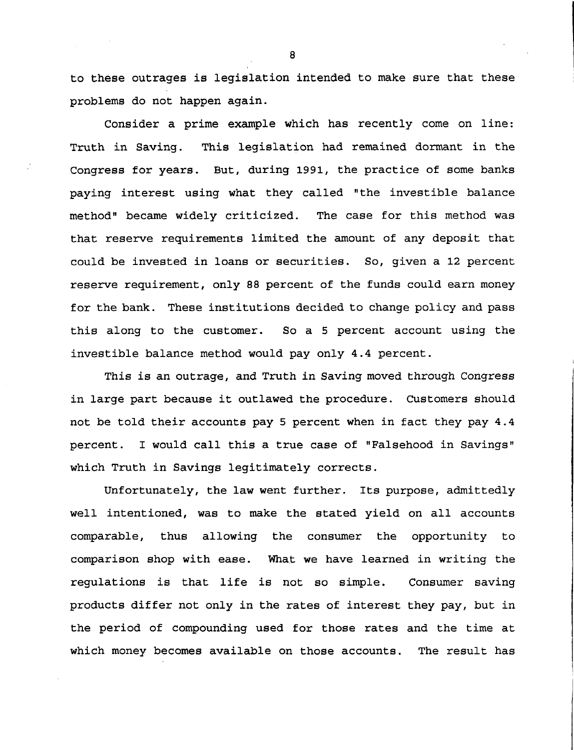**to these outrages is legislation intended to make sure that these problems do not happen again.**

**Consider a prime example which has recently come on line: Truth in Saving. This legislation had remained dormant in the Congress for years. But, during 1991, the practice of some banks paying interest using what they called "the investible balance method" became widely criticized. The case for this method was that reserve requirements limited the amount of any deposit that could be invested in loans or securities. So, given a 12 percent reserve requirement, only 88 percent of the funds could earn money for the bank. These institutions decided to change policy and pass this along to the customer. So a 5 percent account using the investible balance method would pay only 4.4 percent.**

**This is an outrage, and Truth in Saving moved through Congress in large part because it outlawed the procedure. Customers should not be told their accounts pay 5 percent when in fact they pay 4.4 percent. I would call this a true case of "Falsehood in Savings" which Truth in Savings legitimately corrects.**

**Unfortunately, the law went further. Its purpose, admittedly well intentioned, was to make the stated yield on all accounts comparable, thus allowing the consumer the opportunity to comparison shop with ease. What we have learned in writing the regulations is that life is not so simple. Consumer saving products differ not only in the rates of interest they pay, but in the period of compounding used for those rates and the time at which money becomes available on those accounts. The result has**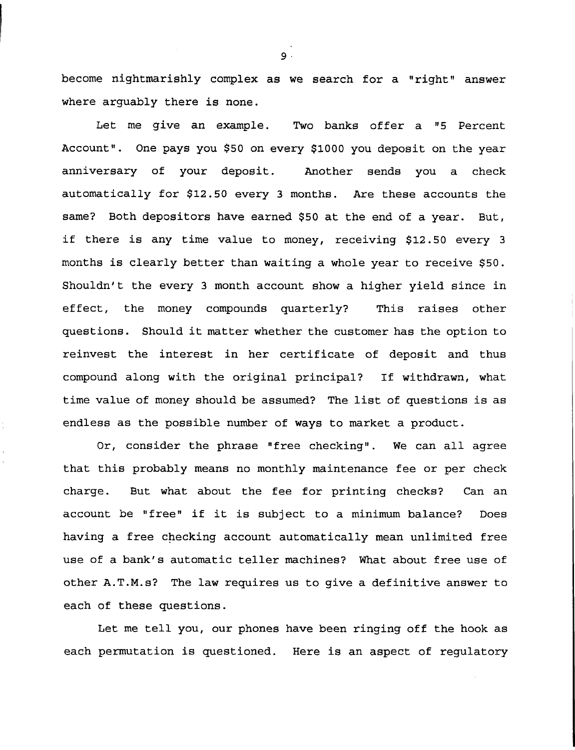**become nightmarishly complex as we search for a "right" answer where arguably there is none.**

**Let me give an example. Two banks offer a "5 Percent Account". One pays you \$50 on every \$1000 you deposit on the year anniversary of your deposit. Another sends you a check automatically for \$12.50 every 3 months. Are these accounts the same? Both depositors have earned \$50 at the end of a year. But, if there is any time value to money, receiving \$12.50 every 3 months is clearly better than waiting a whole year to receive \$50. Shouldn't the every 3 month account show a higher yield since in effect, the money compounds quarterly? This raises other questions. Should it matter whether the customer has the option to reinvest the interest in her certificate of deposit and thus compound along with the original principal? If withdrawn, what time value of money should be assumed? The list of questions is as endless as the possible number of ways to market a product.**

**Or, consider the phrase "free checking". We can all agree that this probably means no monthly maintenance fee or per check charge. But what about the fee for printing checks? Can an account be "free" if it is subject to a minimum balance? Does having a free checking account automatically mean unlimited free use of a bank's automatic teller machines? What about free use of other A.T.M.s? The law requires us to give a definitive answer to each of these questions.**

**Let me tell you, our phones have been ringing off the hook as each permutation is questioned. Here is an aspect of regulatory**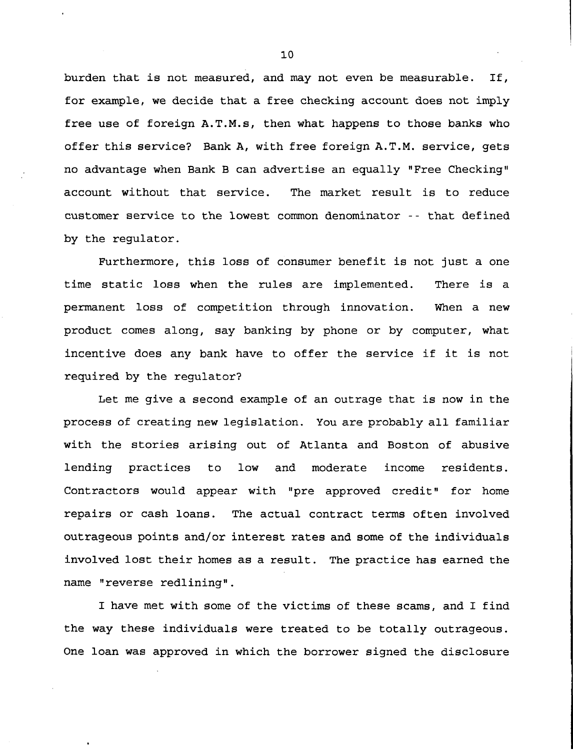**burden that is not measured, and may not even be measurable. If, for example, we decide that a free checking account does not imply free use of foreign A.T.M.s, then what happens to those banks who offer this service? Bank A, with free foreign A.T.M. service, gets no advantage when Bank B can advertise an equally "Free Checking" account without that service. The market result is to reduce customer service to the lowest common denominator -- that defined by the regulator.**

**Furthermore, this loss of consumer benefit is not just a one time static loss when the rules are implemented. There is a permanent loss of competition through innovation. When a new product comes along, say banking by phone or by computer, what incentive does any bank have to offer the service if it is not required by the regulator?**

**Let me give a second example of an outrage that is now in the process of creating new legislation. You are probably all familiar with the stories arising out of Atlanta and Boston of abusive lending practices to low and moderate income residents. Contractors would appear with "pre approved credit" for home repairs or cash loans. The actual contract terms often involved outrageous points and/or interest rates and some of the individuals involved lost their homes as a result. The practice has earned the name "reverse redlining".**

**I have met with some of the victims of these scams, and I find the way these individuals were treated to be totally outrageous. One loan was approved in which the borrower signed the disclosure**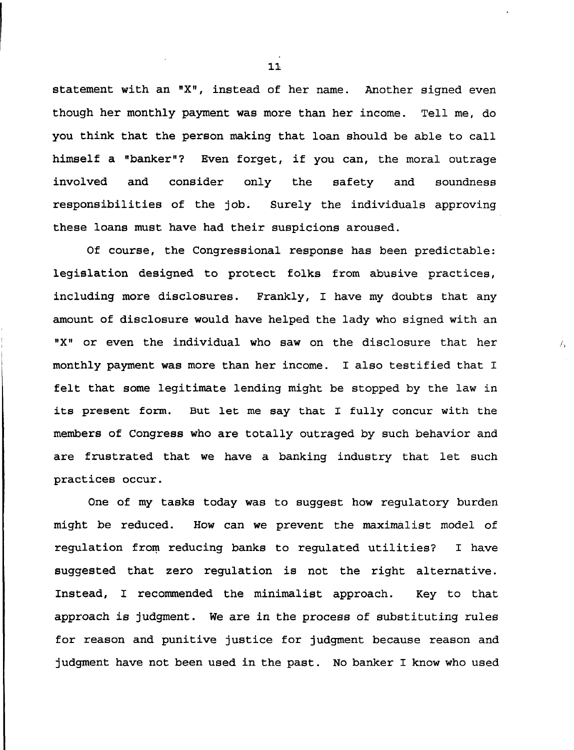**statement with an <sup>n</sup>X", instead of her name. Another signed even though her monthly payment was more than her income. Tell me, do you think that the person making that loan should be able to call himself a "banker"? Even forget, if you can, the moral outrage involved and consider only the safety and soundness responsibilities of the job. Surely the individuals approving these loans must have had their suspicions aroused.**

**Of course, the Congressional response has been predictable: legislation designed to protect folks from abusive practices, including more disclosures. Frankly, I have my doubts that any amount of disclosure would have helped the lady who signed with an "X" or even the individual who saw on the disclosure that her monthly payment was more than her income. I also testified that I felt that some legitimate lending might be stopped by the law in its present form. But let me say that I fully concur with the members of Congress who are totally outraged by such behavior and are frustrated that we have a banking industry that let such practices occur.**

 $f_{\rm x}$ 

**One of my tasks today was to suggest how regulatory burden might be reduced. How can we prevent the maximalist model of regulation from reducing banks to regulated utilities? I have suggested that zero regulation is not the right alternative. Instead, I recommended the minimalist approach. Key to that approach is judgment. We are in the process of substituting rules for reason and punitive justice for judgment because reason and judgment have not been used in the past. No banker I know who used**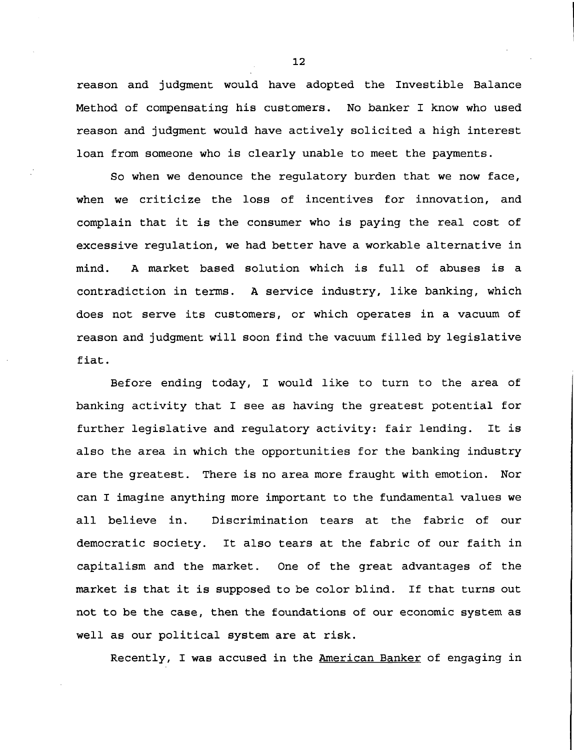**reason and judgment would have adopted the Investible Balance Method of compensating his customers. No banker I know who used reason and judgment would have actively solicited a high interest loan from someone who is clearly unable to meet the payments.**

**So when we denounce the regulatory burden that we now face, when we criticize the loss of incentives for innovation, and complain that it is the consumer who is paying the real cost of excessive regulation, we had better have a workable alternative in mind. A market based solution which is full of abuses is a contradiction in terms. A service industry, like banking, which does not serve its customers, or which operates in a vacuum of reason and judgment will soon find the vacuum filled by legislative fiat.**

**Before ending today, I would like to turn to the area of banking activity that I see as having the greatest potential for further legislative and regulatory activity: fair lending. It is also the area in which the opportunities for the banking industry are the greatest. There is no area more fraught with emotion. Nor can I imagine anything more important to the fundamental values we all believe in. Discrimination tears at the fabric of our democratic society. It also tears at the fabric of our faith in capitalism and the market. One of the great advantages of the market is that it is supposed to be color blind. If that turns out not to be the case, then the foundations of our economic system as well as our political system are at risk.**

**Recently, I was accused in the American Banker of engaging in**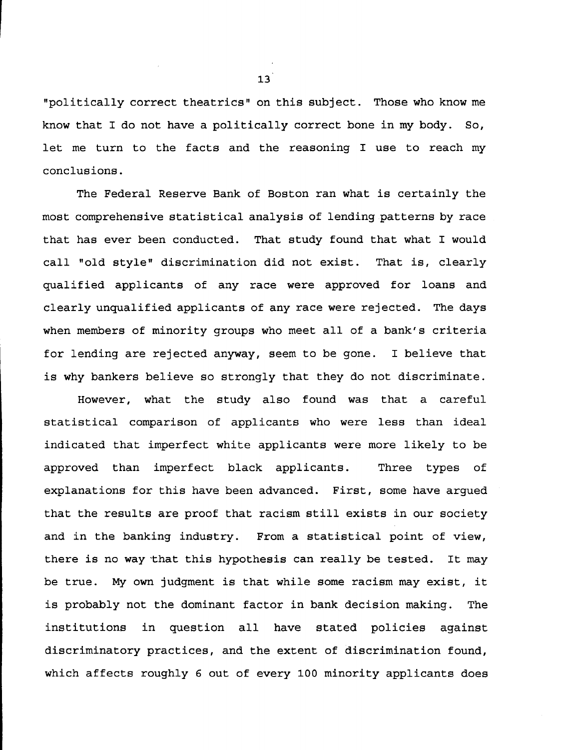**"politically correct theatrics" on this subject. Those who know me know that I do not have a politically correct bone in my body. So, let me turn to the facts and the reasoning I use to reach my conclusions.**

**The Federal Reserve Bank of Boston ran what is certainly the most comprehensive statistical analysis of lending patterns by race that has ever been conducted. That study found that what I would call "old style" discrimination did not exist. That is, clearly qualified applicants of any race were approved for loans and clearly unqualified applicants of any race were rejected. The days when members of minority groups who meet all of a bank's criteria for lending are rejected anyway, seem to be gone. I believe that is why bankers believe so strongly that they do not discriminate.**

**However, what the study also found was that a careful statistical comparison of applicants who were less than ideal indicated that imperfect white applicants were more likely to be approved than imperfect black applicants. Three types of explanations for this have been advanced. First, some have argued that the results are proof that racism still exists in our society and in the banking industry. From a statistical point of view, there is no way that this hypothesis can really be tested. It may be true. My own judgment is that while some racism may exist, it is probably not the dominant factor in bank decision making. The institutions in question all have stated policies against discriminatory practices, and the extent of discrimination found, which affects roughly 6 out of every 100 minority applicants does**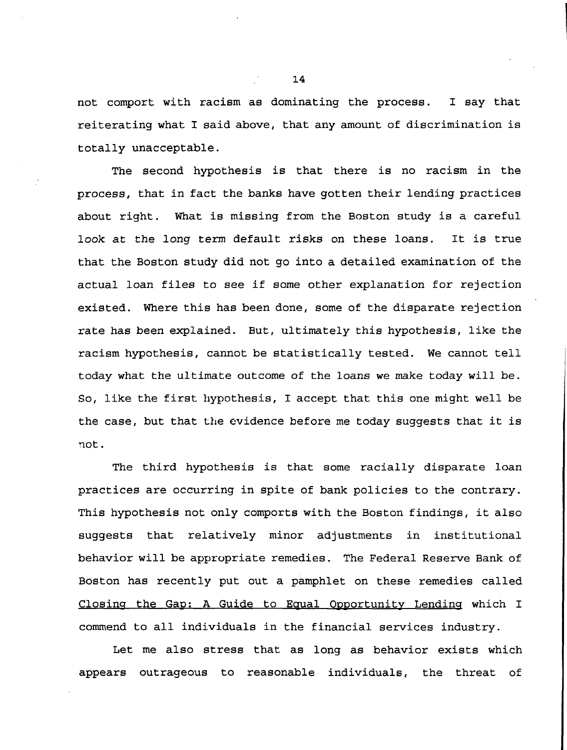**not comport with racism as dominating the process. I say that reiterating what I said above, that any amount of discrimination is totally unacceptable.**

**The second hypothesis is that there is no racism in the process, that in fact the banks have gotten their lending practices about right. What is missing from the Boston study is a careful look at the long term default risks on these loans. It is true that the Boston study did not go into a detailed examination of the actual loan files to see if some other explanation for rejection existed. Where this has been done, some of the disparate rejection rate has been explained. But, ultimately this hypothesis, like the racism hypothesis, cannot be statistically tested. We cannot tell today what the ultimate outcome of the loans we make today will be. So, like the first hypothesis, I accept that this one might well be the case, but that the evidence before me today suggests that it is not.**

**The third hypothesis is that some racially disparate loan practices are occurring in spite of bank policies to the contrary. This hypothesis not only comports with the Boston findings, it also suggests that relatively minor adjustments in institutional behavior will be appropriate remedies. The Federal Reserve Bank of Boston has recently put out a pamphlet on these remedies called Closing the Gap: A Guide to Equal Opportunity Lending which I commend to all individuals in the financial services industry.**

**Let me also stress that as long as behavior exists which appears outrageous to reasonable individuals, the threat of**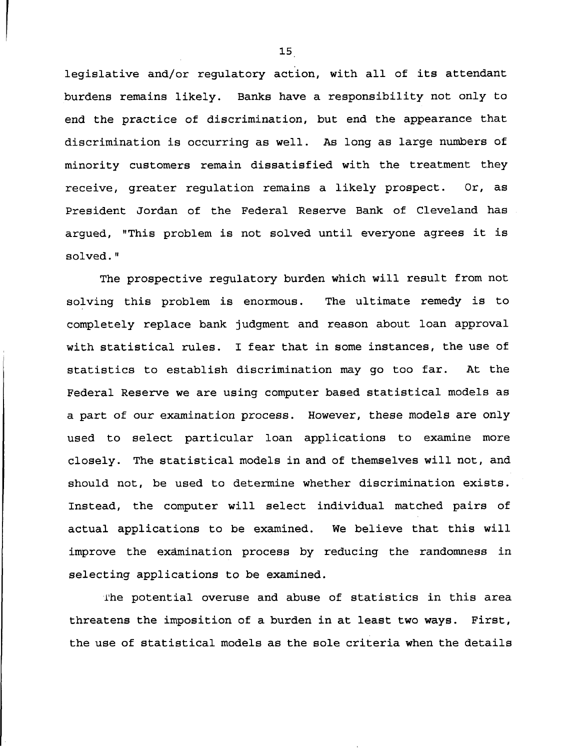**legislative and/or regulatory action, with all of its attendant burdens remains likely. Banks have a responsibility not only to end the practice of discrimination, but end the appearance that discrimination is occurring as well. As long as large numbers of minority customers remain dissatisfied with the treatment they receive, greater regulation remains a likely prospect. Or, as President Jordan of the Federal Reserve Bank of Cleveland has argued, "This problem is not solved until everyone agrees it is solved."**

**The prospective regulatory burden which will result from not solving this problem is enormous. The ultimate remedy is to completely replace bank judgment and reason about loan approval with statistical rules. I fear that in some instances, the use of statistics to establish discrimination may go too far. At the Federal Reserve we are using computer based statistical models as a part of our examination process. However, these models are only used to select particular loan applications to examine more closely. The statistical models in and of themselves will not, and should not, be used to determine whether discrimination exists. Instead, the computer will select individual matched pairs of actual applications to be examined. We believe that this will improve the examination process by reducing the randomness in selecting applications to be examined.**

**The potential overuse and abuse of statistics in this area threatens the imposition of a burden in at least two ways. First, the use of statistical models as the sole criteria when the details**

3.5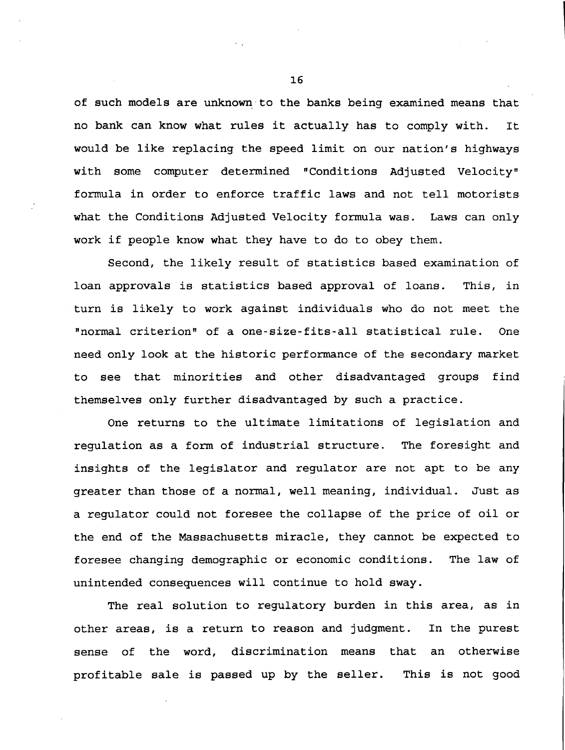**of such models are unknown to the banks being examined means that no bank can know what rules it actually has to comply with. It would be like replacing the speed limit on our nation's highways with some computer determined "Conditions Adjusted Velocity" formula in order to enforce traffic laws and not tell motorists what the Conditions Adjusted Velocity formula was. Laws can only work if people know what they have to do to obey them.**

**Second, the likely result of statistics based examination of loan approvals is statistics based approval of loans. This, in turn is likely to work against individuals who do not meet the "normal criterion" of a one-size-fits-all statistical rule. One need only look at the historic performance of the secondary market to see that minorities and other disadvantaged groups find themselves only further disadvantaged by such a practice.**

**One returns to the ultimate limitations of legislation and regulation as a form of industrial structure. The foresight and insights of the legislator and regulator are not apt to be any greater than those of a normal, well meaning, individual. Just as a regulator could not foresee the collapse of the price of oil or the end of the Massachusetts miracle, they cannot be expected to foresee changing demographic or economic conditions. The law of unintended consequences will continue to hold sway.**

**The real solution to regulatory burden in this area, as in other areas, is a return to reason and judgment. In the purest sense of the word, discrimination means that an otherwise profitable sale is passed up by the seller. This is not good**